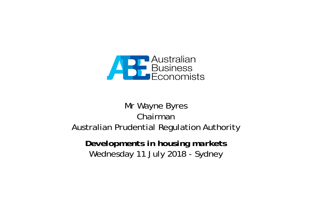

## Mr Wayne Byres ChairmanAustralian Prudential Regulation Authority

*Developments in housing markets* Wednesday 11 July 2018 - Sydney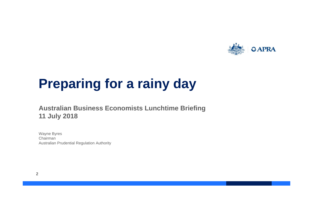

# **Preparing for a rainy day**

#### **Australian Business Economists Lunchtime Briefing 11 July 2018**

Wayne Byres Chairman Australian Prudential Regulation Authority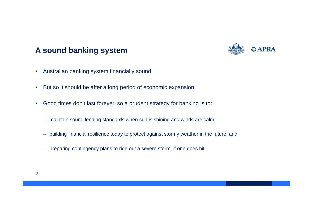### **A sound banking system**



- •Australian banking system financially sound
- •But so it should be after a long period of economic expansion
- • Good times don't last forever, so a prudent strategy for banking is to:
	- maintain sound lending standards when sun is shining and winds are calm;
	- building financial resilience today to protect against stormy weather in the future; and
	- preparing contingency plans to ride out a severe storm, if one does hit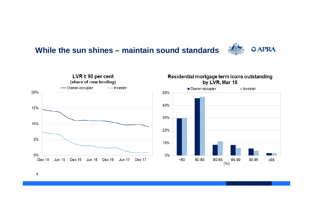### **While the sun shines – maintain sound standards**





#### Residential mortgage term loans outstanding by LVR, Mar 18

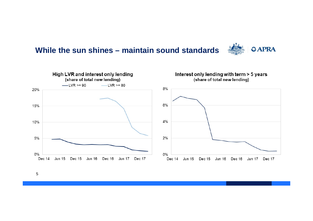





5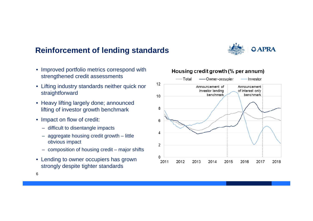### **Reinforcement of lending standards**

- Improved portfolio metrics correspond with strengthened credit assessments
- Lifting industry standards neither quick nor straightforward
- Heavy lifting largely done; announced lifting of investor growth benchmark
- Impact on flow of credit:
	- difficult to disentangle impacts
	- aggregate housing credit growth little obvious impact
	- composition of housing credit major shifts
- Lending to owner occupiers has grown strongly despite tighter standards

#### Housing credit growth (% per annum)





6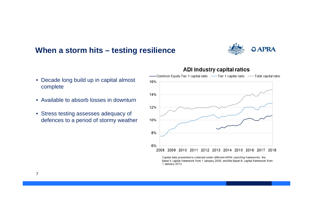#### **When a storm hits – testing resilience**



- Decade long build up in capital almost complete
- Available to absorb losses in downturn
- Stress testing assesses adequacy of defences to a period of stormy weather



ADI industry capital ratios

Capital data presented is collected under different APRA reporting frameworks: the Basel II capital framework from 1 January 2008, and the Basel III capital framework from 1 January 2013.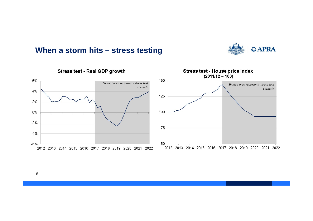#### **When a storm hits – stress testing**





Stress test - Real GDP growth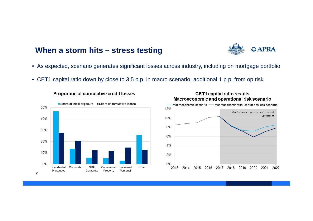#### **When a storm hits – stress testing**



- As expected, scenario generates significant losses across industry, including on mortgage portfolio
- CET1 capital ratio down by close to 3.5 p.p. in macro scenario; additional 1 p.p. from op risk







#### **CET1 capital ratio results** Macroeconomic and operational risk scenario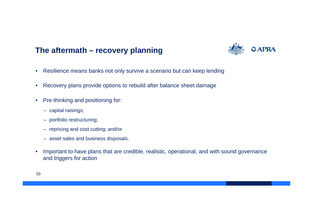### **The aftermath – recovery planning**



- •Resilience means banks not only survive a scenario but can keep lending
- •Recovery plans provide options to rebuild after balance sheet damage
- • Pre-thinking and positioning for:
	- capital raisings;
	- portfolio restructuring;
	- repricing and cost cutting; and/or
	- asset sales and business disposals.
- • Important to have plans that are credible, realistic, operational, and with sound governance and triggers for action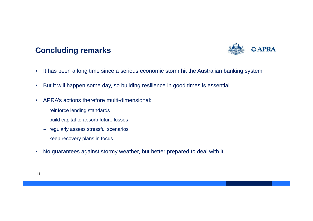## **Concluding remarks**



- •It has been a long time since a serious economic storm hit the Australian banking system
- $\bullet$ But it will happen some day, so building resilience in good times is essential
- • APRA's actions therefore multi-dimensional:
	- reinforce lending standards
	- build capital to absorb future losses
	- regularly assess stressful scenarios
	- keep recovery plans in focus
- •No guarantees against stormy weather, but better prepared to deal with it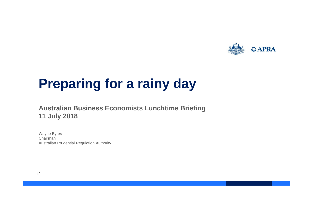

# **Preparing for a rainy day**

#### **Australian Business Economists Lunchtime Briefing 11 July 2018**

Wayne Byres Chairman Australian Prudential Regulation Authority